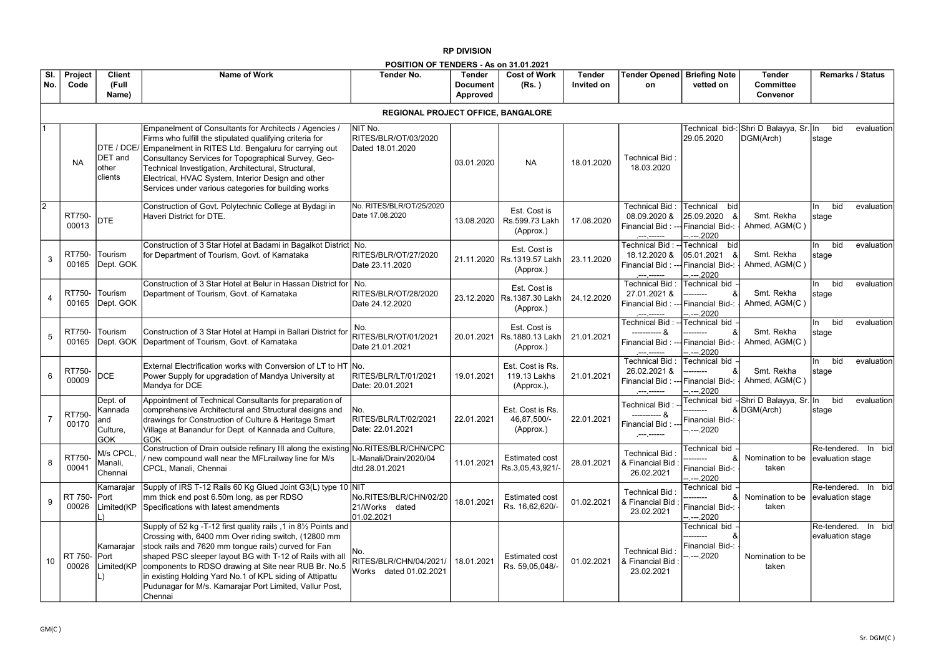| <b>Briefing Note</b><br>vetted on                                          | <b>Tender</b><br><b>Committee</b><br>Convenor           | <b>Remarks / Status</b>                        |
|----------------------------------------------------------------------------|---------------------------------------------------------|------------------------------------------------|
|                                                                            |                                                         |                                                |
| 29.05.2020                                                                 | Technical bid-: Shri D Balayya, Sr. In bid<br>DGM(Arch) | evaluation<br>stage                            |
| Technical<br>bid<br>25.09.2020 &<br>Financial Bid-:<br>--.---. <u>2020</u> | Smt. Rekha<br>Ahmed, AGM(C)                             | bid<br>evaluation<br>In.<br>stage              |
| bid<br>Technical<br>05.01.2021 &<br>Financial Bid-:<br>--.---.2020         | Smt. Rekha<br>Ahmed, AGM(C)                             | bid<br>evaluation<br>In<br>stage               |
| Technical bid -<br>&<br>Financial Bid-:<br><u>--.---.2020</u>              | Smt. Rekha<br>Ahmed, AGM(C)                             | bid<br>evaluation<br>In.<br>stage              |
| Technical bid<br>&<br>Financial Bid-:<br><u>--.---.2020</u>                | Smt. Rekha<br>Ahmed, AGM(C)                             | evaluation<br>bid<br>In<br>stage               |
| Technical bid<br>&<br>Financial Bid-: -<br>--.---.2020                     | Smt. Rekha<br>Ahmed, AGM(C)                             | evaluation<br>bid<br>ln.<br>stage              |
| ---------<br>Financial Bid-:<br>--.---.2020                                | Technical bid - Shri D Balayya, Sr. In<br>&DGM(Arch)    | evaluation<br>bid<br>stage                     |
| Technical bid<br>&<br>Financial Bid-:<br><u>--.---.2020</u>                | Nomination to be<br>taken                               | Re-tendered. In<br>bid<br>evaluation stage     |
| Technical bid<br>&<br>Financial Bid-:<br><u>--.---.2020</u>                | Nomination to be<br>taken                               | Re-tendered. In<br>bid<br>evaluation stage     |
| Technical bid<br>&<br>Financial Bid-:<br>--.---.2020                       | Nomination to be<br>taken                               | Re-tendered.<br>bid<br>In.<br>evaluation stage |

|                |                  | POSITION OF TENDERS - As on 31.01.2021               |                                                                                                                                                                                                                                                                                                                                                                                                                                       |                                                         |                                              |                                                         |                             |                                                                                              |                                       |
|----------------|------------------|------------------------------------------------------|---------------------------------------------------------------------------------------------------------------------------------------------------------------------------------------------------------------------------------------------------------------------------------------------------------------------------------------------------------------------------------------------------------------------------------------|---------------------------------------------------------|----------------------------------------------|---------------------------------------------------------|-----------------------------|----------------------------------------------------------------------------------------------|---------------------------------------|
| SI.<br>No.     | Project<br>Code  | <b>Client</b><br>(Full<br>Name)                      | <b>Name of Work</b>                                                                                                                                                                                                                                                                                                                                                                                                                   | <b>Tender No.</b>                                       | <b>Tender</b><br><b>Document</b><br>Approved | <b>Cost of Work</b><br>(Rs. )                           | <b>Tender</b><br>Invited on | <b>Tender Opened</b><br>on                                                                   | <b>Briefing</b><br>vetted             |
|                |                  |                                                      |                                                                                                                                                                                                                                                                                                                                                                                                                                       | REGIONAL PROJECT OFFICE, BANGALORE                      |                                              |                                                         |                             |                                                                                              |                                       |
|                | <b>NA</b>        | DTE / DCE/<br><b>DET</b> and<br>other<br>clients     | Empanelment of Consultants for Architects / Agencies /<br>Firms who fulfill the stipulated qualifying criteria for<br>Empanelment in RITES Ltd. Bengaluru for carrying out<br>Consultancy Services for Topographical Survey, Geo-<br>Technical Investigation, Architectural, Structural,<br>Electrical, HVAC System, Interior Design and other<br>Services under various categories for building works                                | NIT No.<br>RITES/BLR/OT/03/2020<br>Dated 18.01.2020     | 03.01.2020                                   | <b>NA</b>                                               | 18.01.2020                  | Technical Bid:<br>18.03.2020                                                                 | Technical<br>29.05.202                |
| $\overline{2}$ | RT750-<br>00013  | <b>DTE</b>                                           | Construction of Govt. Polytechnic College at Bydagi in<br>Haveri District for DTE.                                                                                                                                                                                                                                                                                                                                                    | No. RITES/BLR/OT/25/2020<br>Date 17.08.2020             | 13.08.2020                                   | Est. Cost is<br>Rs.599.73 Lakh<br>(Approx.)             | 17.08.2020                  | Technical Bid:<br>08.09.2020 &<br>Financial Bid: --- Financial<br>.---.------                | Technical<br>25.09.202<br>--.---.2020 |
| 3              | RT750-<br>00165  | Tourism<br>Dept. GOK                                 | Construction of 3 Star Hotel at Badami in Bagalkot District   No.<br>for Department of Tourism, Govt. of Karnataka                                                                                                                                                                                                                                                                                                                    | RITES/BLR/OT/27/2020<br>Date 23.11.2020                 |                                              | Est. Cost is<br>21.11.2020 Rs.1319.57 Lakh<br>(Approx.) | 23.11.2020                  | Technical Bid:<br>18.12.2020 &<br>Financial Bid: --- Financial                               | Technical<br>05.01.202<br>--.---.2020 |
| 4              | RT750-<br>00165  | Tourism<br>Dept. GOK                                 | Construction of 3 Star Hotel at Belur in Hassan District for   No.<br>Department of Tourism, Govt. of Karnataka                                                                                                                                                                                                                                                                                                                       | RITES/BLR/OT/28/2020<br>Date 24.12.2020                 |                                              | Est. Cost is<br>23.12.2020 Rs.1387.30 Lakh<br>(Approx.) | 24.12.2020                  | Technical Bid:<br>27.01.2021 &<br>Financial Bid: --- Financial                               | Technical<br>--.---.2020              |
| 5              | RT750-<br>00165  | Tourism<br>Dept. GOK                                 | Construction of 3 Star Hotel at Hampi in Ballari District for<br>Department of Tourism, Govt. of Karnataka                                                                                                                                                                                                                                                                                                                            | No.<br>RITES/BLR/OT/01/2021<br>Date 21.01.2021          | 20.01.2021                                   | Est. Cost is<br>Rs.1880.13 Lakh<br>(Approx.)            | 21.01.2021                  | Technical Bid : -- Technical<br>----------- &<br>Financial Bid: --- Financial<br>.---.------ | $--.2020$                             |
| 6              | RT750-<br>00009  | <b>DCE</b>                                           | External Electrification works with Conversion of LT to HT No.<br>Power Supply for upgradation of Mandya University at<br>Mandya for DCE                                                                                                                                                                                                                                                                                              | RITES/BLR/LT/01/2021<br>Date: 20.01.2021                | 19.01.2021                                   | Est. Cost is Rs.<br>119.13 Lakhs<br>(Approx.),          | 21.01.2021                  | Technical Bid:<br>26.02.2021 &<br>Financial Bid: --- Financial<br>.---.------                | Technical<br>-------<br>--.---.2020   |
| $\overline{7}$ | RT750-<br>00170  | Dept. of<br>Kannada<br>and<br>Culture,<br><b>GOK</b> | Appointment of Technical Consultants for preparation of<br>comprehensive Architectural and Structural designs and<br>drawings for Construction of Culture & Heritage Smart<br>Village at Banandur for Dept. of Kannada and Culture,<br> GOK                                                                                                                                                                                           | No.<br>RITES/BLR/LT/02/2021<br>Date: 22.01.2021         | 22.01.2021                                   | Est. Cost is Rs.<br>46,87,500/-<br>(Approx.)            | 22.01.2021                  | Technical Bid: -<br>----------- &<br>Financial Bid:<br>.---.------                           | Technical<br>Financial<br>--.---.2020 |
| 8              | RT750-<br>00041  | M/s CPCL,<br>Manali,<br>Chennai                      | Construction of Drain outside refinary III along the existing No.RITES/BLR/CHN/CPC<br>new compound wall near the MFLrailway line for M/s<br>CPCL, Manali, Chennai                                                                                                                                                                                                                                                                     | L-Manali/Drain/2020/04<br>dtd.28.01.2021                | 11.01.2021                                   | <b>Estimated cost</b><br>Rs.3,05,43,921/-               | 28.01.2021                  | Technical Bid:<br>& Financial Bid<br>26.02.2021                                              | Technical<br>Financial<br>--.---.2020 |
| 9              | RT 750-<br>00026 | Kamarajar<br> Port<br>Limited(KP                     | Supply of IRS T-12 Rails 60 Kg Glued Joint G3(L) type 10 NIT<br>mm thick end post 6.50m long, as per RDSO<br>Specifications with latest amendments                                                                                                                                                                                                                                                                                    | No.RITES/BLR/CHN/02/20<br>21/Works dated<br>01.02.2021  | 18.01.2021                                   | <b>Estimated cost</b><br>Rs. 16,62,620/-                | 01.02.2021                  | Technical Bid:<br>& Financial Bid<br>23.02.2021                                              | Technical<br>Financial<br>--.---.2020 |
| 10             | RT 750-<br>00026 | Kamarajar<br>Port<br>Limited(KP                      | Supply of 52 kg -T-12 first quality rails ,1 in 81/2 Points and<br>Crossing with, 6400 mm Over riding switch, (12800 mm<br>stock rails and 7620 mm tongue rails) curved for Fan<br>shaped PSC sleeper layout BG with T-12 of Rails with all<br>components to RDSO drawing at Site near RUB Br. No.5<br>in existing Holding Yard No.1 of KPL siding of Attipattu<br>Pudunagar for M/s. Kamarajar Port Limited, Vallur Post,<br>Chennai | No.<br>RITES/BLR/CHN/04/2021/<br>Works dated 01.02.2021 | 18.01.2021                                   | <b>Estimated cost</b><br>Rs. 59,05,048/-                | 01.02.2021                  | Technical Bid:<br>& Financial Bid<br>23.02.2021                                              | Technical<br>Financial<br>--.---.2020 |